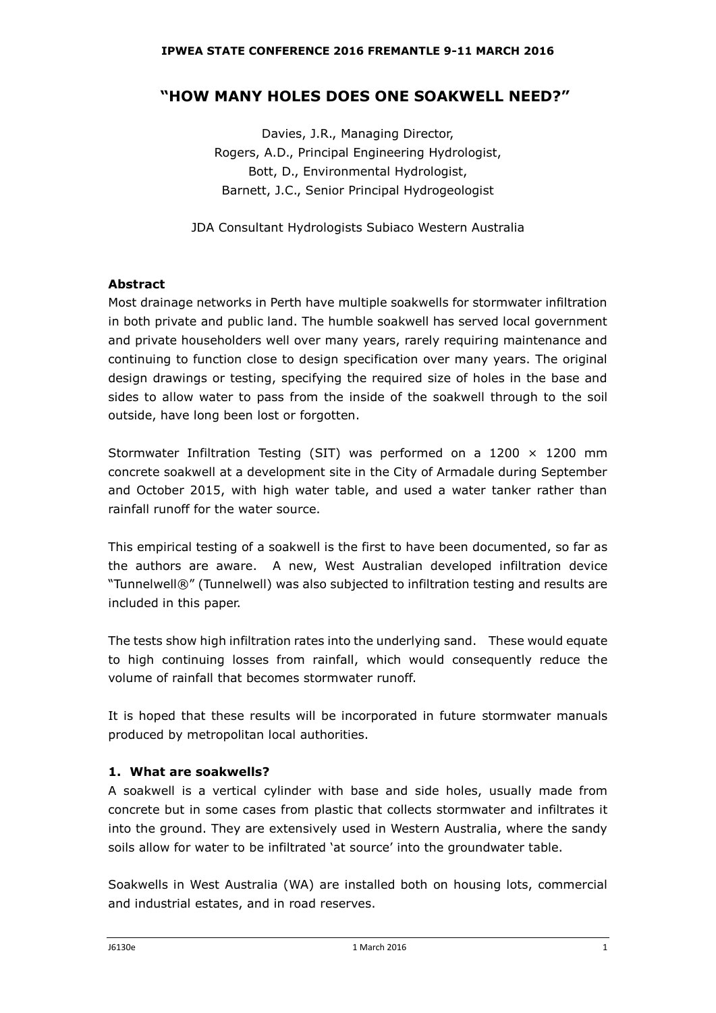## **"HOW MANY HOLES DOES ONE SOAKWELL NEED?"**

Davies, J.R., Managing Director, Rogers, A.D., Principal Engineering Hydrologist, Bott, D., Environmental Hydrologist, Barnett, J.C., Senior Principal Hydrogeologist

JDA Consultant Hydrologists Subiaco Western Australia

## **Abstract**

Most drainage networks in Perth have multiple soakwells for stormwater infiltration in both private and public land. The humble soakwell has served local government and private householders well over many years, rarely requiring maintenance and continuing to function close to design specification over many years. The original design drawings or testing, specifying the required size of holes in the base and sides to allow water to pass from the inside of the soakwell through to the soil outside, have long been lost or forgotten.

Stormwater Infiltration Testing (SIT) was performed on a 1200  $\times$  1200 mm concrete soakwell at a development site in the City of Armadale during September and October 2015, with high water table, and used a water tanker rather than rainfall runoff for the water source.

This empirical testing of a soakwell is the first to have been documented, so far as the authors are aware. A new, West Australian developed infiltration device "Tunnelwell®" (Tunnelwell) was also subjected to infiltration testing and results are included in this paper.

The tests show high infiltration rates into the underlying sand. These would equate to high continuing losses from rainfall, which would consequently reduce the volume of rainfall that becomes stormwater runoff.

It is hoped that these results will be incorporated in future stormwater manuals produced by metropolitan local authorities.

## **1. What are soakwells?**

A soakwell is a vertical cylinder with base and side holes, usually made from concrete but in some cases from plastic that collects stormwater and infiltrates it into the ground. They are extensively used in Western Australia, where the sandy soils allow for water to be infiltrated 'at source' into the groundwater table.

Soakwells in West Australia (WA) are installed both on housing lots, commercial and industrial estates, and in road reserves.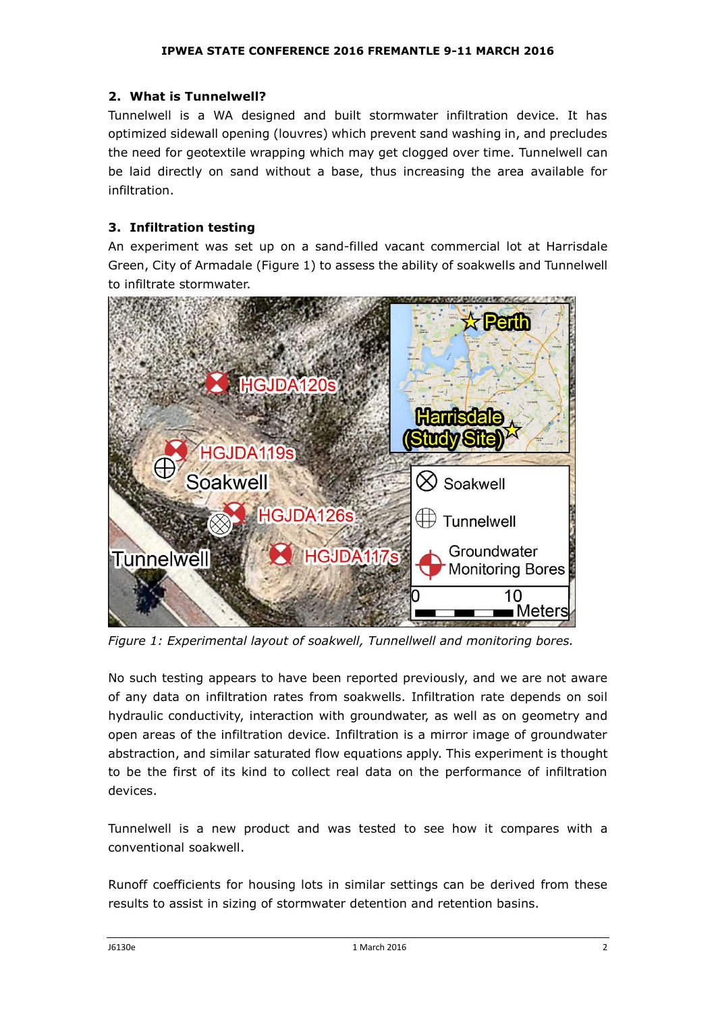## **2. What is Tunnelwell?**

Tunnelwell is a WA designed and built stormwater infiltration device. It has optimized sidewall opening (louvres) which prevent sand washing in, and precludes the need for geotextile wrapping which may get clogged over time. Tunnelwell can be laid directly on sand without a base, thus increasing the area available for infiltration.

## **3. Infiltration testing**

An experiment was set up on a sand-filled vacant commercial lot at Harrisdale Green, City of Armadale (Figure 1) to assess the ability of soakwells and Tunnelwell to infiltrate stormwater.



*Figure 1: Experimental layout of soakwell, Tunnellwell and monitoring bores.*

No such testing appears to have been reported previously, and we are not aware of any data on infiltration rates from soakwells. Infiltration rate depends on soil hydraulic conductivity, interaction with groundwater, as well as on geometry and open areas of the infiltration device. Infiltration is a mirror image of groundwater abstraction, and similar saturated flow equations apply. This experiment is thought to be the first of its kind to collect real data on the performance of infiltration devices.

Tunnelwell is a new product and was tested to see how it compares with a conventional soakwell.

Runoff coefficients for housing lots in similar settings can be derived from these results to assist in sizing of stormwater detention and retention basins.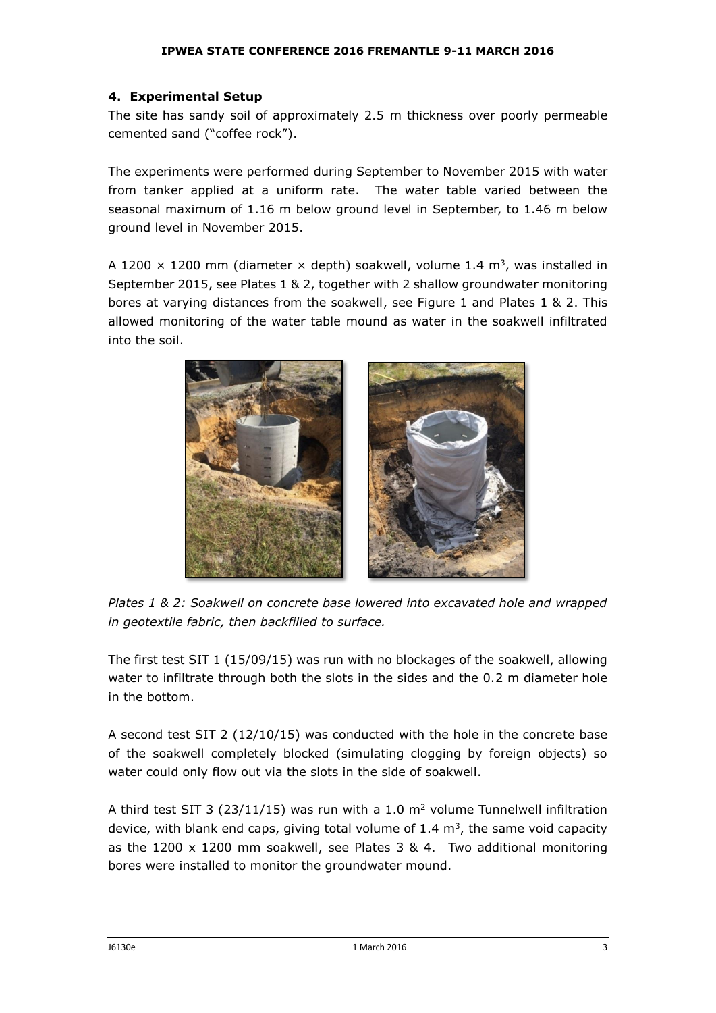## **4. Experimental Setup**

The site has sandy soil of approximately 2.5 m thickness over poorly permeable cemented sand ("coffee rock").

The experiments were performed during September to November 2015 with water from tanker applied at a uniform rate. The water table varied between the seasonal maximum of 1.16 m below ground level in September, to 1.46 m below ground level in November 2015.

A 1200  $\times$  1200 mm (diameter  $\times$  depth) soakwell, volume 1.4 m<sup>3</sup>, was installed in September 2015, see Plates 1 & 2, together with 2 shallow groundwater monitoring bores at varying distances from the soakwell, see Figure 1 and Plates 1 & 2. This allowed monitoring of the water table mound as water in the soakwell infiltrated into the soil.



*Plates 1 & 2: Soakwell on concrete base lowered into excavated hole and wrapped in geotextile fabric, then backfilled to surface.*

The first test SIT 1 (15/09/15) was run with no blockages of the soakwell, allowing water to infiltrate through both the slots in the sides and the 0.2 m diameter hole in the bottom.

A second test SIT 2 (12/10/15) was conducted with the hole in the concrete base of the soakwell completely blocked (simulating clogging by foreign objects) so water could only flow out via the slots in the side of soakwell.

A third test SIT 3 (23/11/15) was run with a 1.0  $m<sup>2</sup>$  volume Tunnelwell infiltration device, with blank end caps, giving total volume of 1.4  $\text{m}^3$ , the same void capacity as the 1200 x 1200 mm soakwell, see Plates 3 & 4. Two additional monitoring bores were installed to monitor the groundwater mound.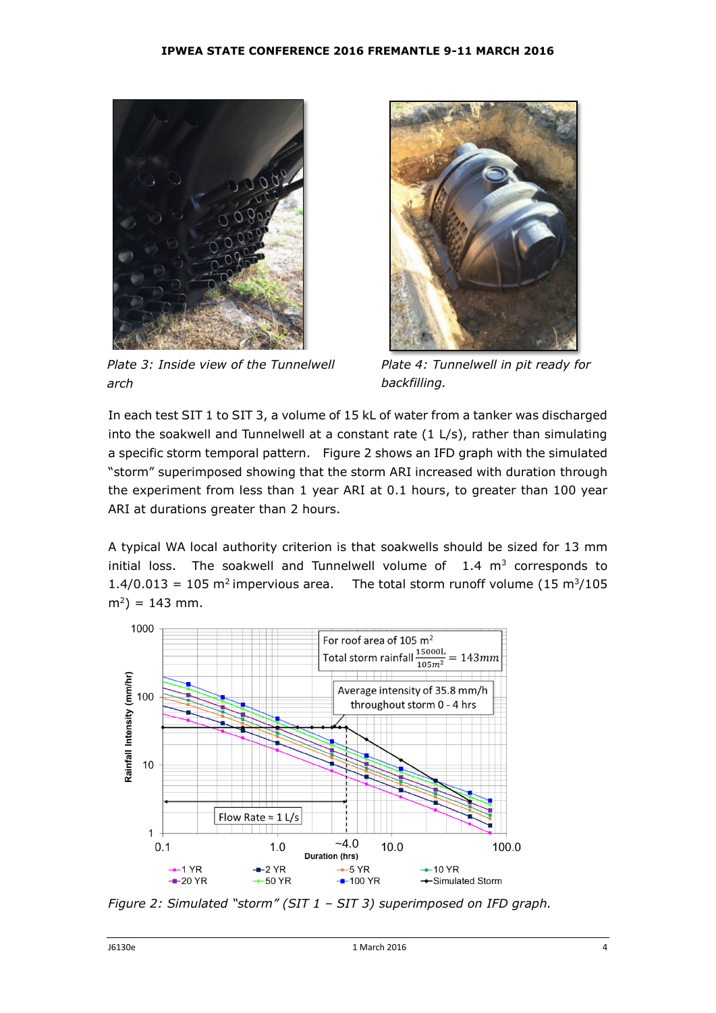

*Plate 3: Inside view of the Tunnelwell arch*



*Plate 4: Tunnelwell in pit ready for backfilling.*

In each test SIT 1 to SIT 3, a volume of 15 kL of water from a tanker was discharged into the soakwell and Tunnelwell at a constant rate (1 L/s), rather than simulating a specific storm temporal pattern. Figure 2 shows an IFD graph with the simulated "storm" superimposed showing that the storm ARI increased with duration through the experiment from less than 1 year ARI at 0.1 hours, to greater than 100 year ARI at durations greater than 2 hours.

A typical WA local authority criterion is that soakwells should be sized for 13 mm initial loss. The soakwell and Tunnelwell volume of  $1.4 \text{ m}^3$  corresponds to  $1.4/0.013 = 105$  m<sup>2</sup> impervious area. The total storm runoff volume (15 m<sup>3</sup>/105  $(m^2) = 143$  mm.



*Figure 2: Simulated "storm" (SIT 1 – SIT 3) superimposed on IFD graph.*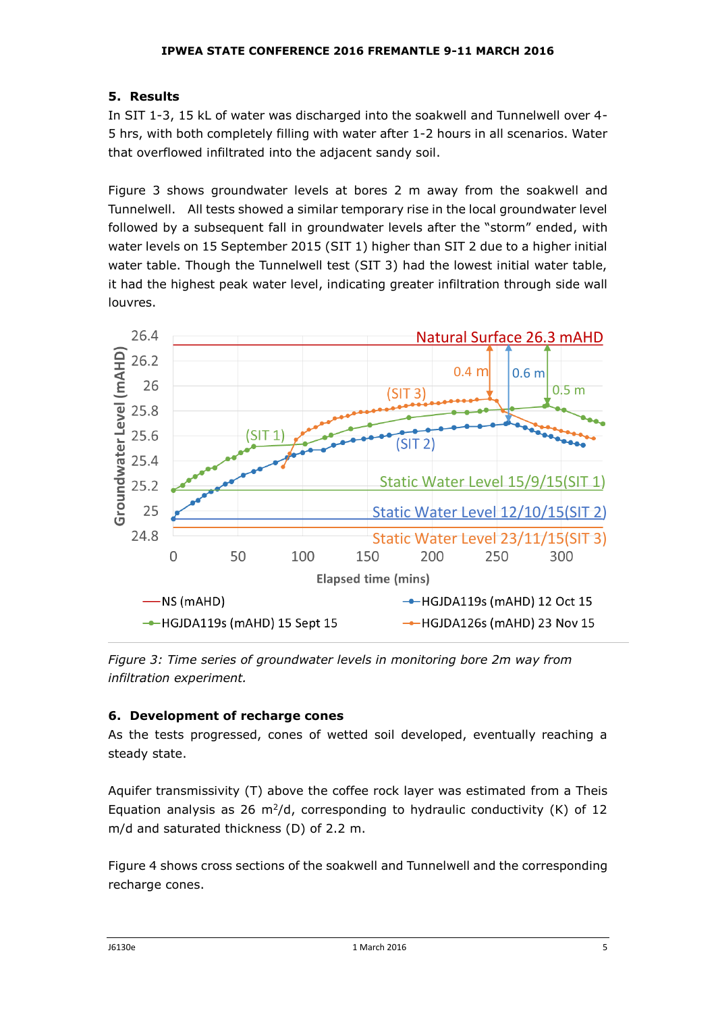## **5. Results**

In SIT 1-3, 15 kL of water was discharged into the soakwell and Tunnelwell over 4- 5 hrs, with both completely filling with water after 1-2 hours in all scenarios. Water that overflowed infiltrated into the adjacent sandy soil.

Figure 3 shows groundwater levels at bores 2 m away from the soakwell and Tunnelwell. All tests showed a similar temporary rise in the local groundwater level followed by a subsequent fall in groundwater levels after the "storm" ended, with water levels on 15 September 2015 (SIT 1) higher than SIT 2 due to a higher initial water table. Though the Tunnelwell test (SIT 3) had the lowest initial water table, it had the highest peak water level, indicating greater infiltration through side wall louvres.



*Figure 3: Time series of groundwater levels in monitoring bore 2m way from infiltration experiment.*

## **6. Development of recharge cones**

As the tests progressed, cones of wetted soil developed, eventually reaching a steady state.

Aquifer transmissivity (T) above the coffee rock layer was estimated from a Theis Equation analysis as 26  $m^2/d$ , corresponding to hydraulic conductivity (K) of 12 m/d and saturated thickness (D) of 2.2 m.

Figure 4 shows cross sections of the soakwell and Tunnelwell and the corresponding recharge cones.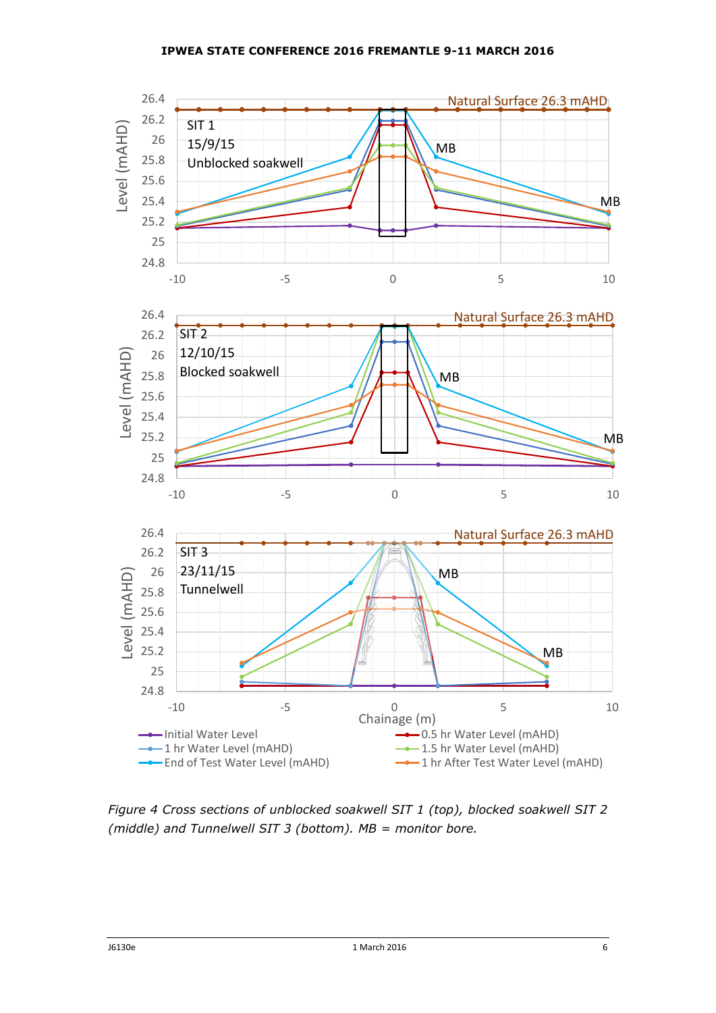

*Figure 4 Cross sections of unblocked soakwell SIT 1 (top), blocked soakwell SIT 2 (middle) and Tunnelwell SIT 3 (bottom). MB = monitor bore.*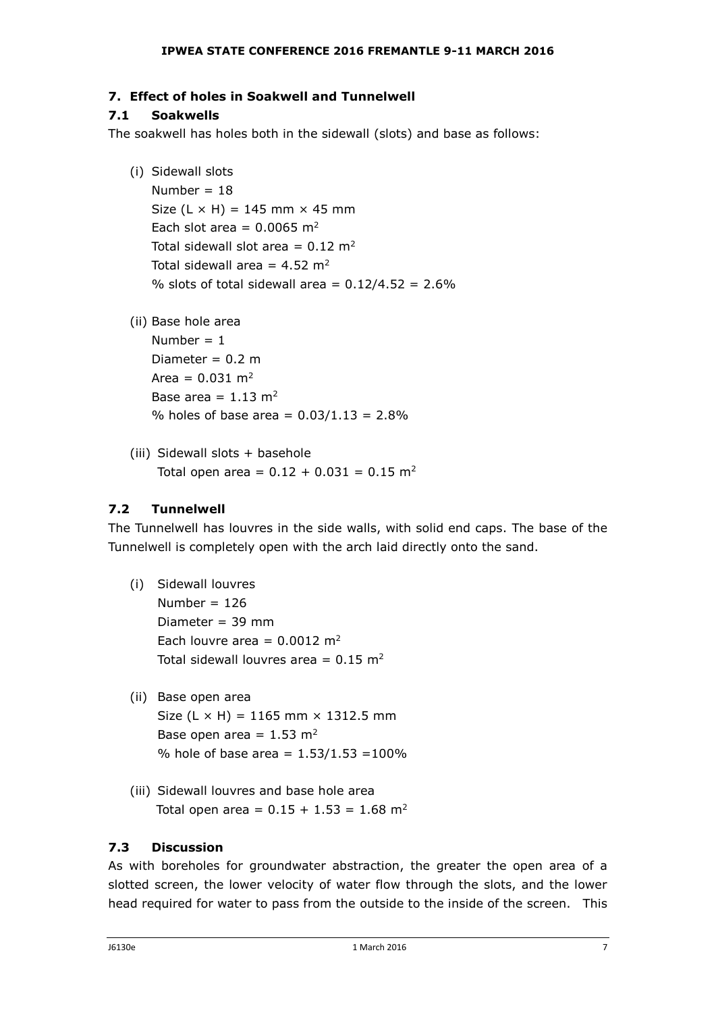# **7. Effect of holes in Soakwell and Tunnelwell**

# **7.1 Soakwells**

The soakwell has holes both in the sidewall (slots) and base as follows:

(i) Sidewall slots

Number =  $18$ Size  $(L \times H) = 145$  mm  $\times 45$  mm Each slot area =  $0.0065$  m<sup>2</sup> Total sidewall slot area =  $0.12 \text{ m}^2$ Total sidewall area =  $4.52 \text{ m}^2$ % slots of total sidewall area =  $0.12/4.52 = 2.6%$ 

(ii) Base hole area

Number  $= 1$ Diameter =  $0.2$  m Area =  $0.031 \text{ m}^2$ Base area =  $1.13$  m<sup>2</sup> % holes of base area =  $0.03/1.13 = 2.8\%$ 

(iii) Sidewall slots + basehole Total open area =  $0.12 + 0.031 = 0.15$  m<sup>2</sup>

# **7.2 Tunnelwell**

The Tunnelwell has louvres in the side walls, with solid end caps. The base of the Tunnelwell is completely open with the arch laid directly onto the sand.

- (i) Sidewall louvres Number =  $126$ Diameter = 39 mm Each louvre area =  $0.0012 \text{ m}^2$ Total sidewall louvres area =  $0.15$  m<sup>2</sup>
- (ii) Base open area Size (L  $\times$  H) = 1165 mm  $\times$  1312.5 mm Base open area =  $1.53$  m<sup>2</sup> % hole of base area =  $1.53/1.53 = 100\%$
- (iii) Sidewall louvres and base hole area Total open area =  $0.15 + 1.53 = 1.68$  m<sup>2</sup>

# **7.3 Discussion**

As with boreholes for groundwater abstraction, the greater the open area of a slotted screen, the lower velocity of water flow through the slots, and the lower head required for water to pass from the outside to the inside of the screen. This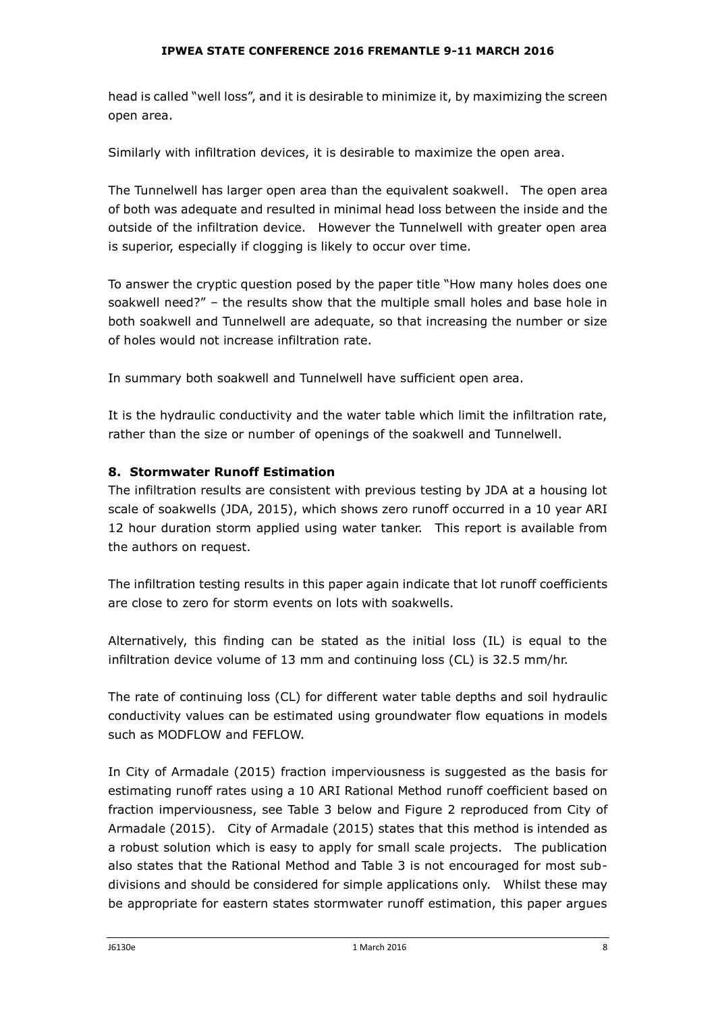head is called "well loss", and it is desirable to minimize it, by maximizing the screen open area.

Similarly with infiltration devices, it is desirable to maximize the open area.

The Tunnelwell has larger open area than the equivalent soakwell. The open area of both was adequate and resulted in minimal head loss between the inside and the outside of the infiltration device. However the Tunnelwell with greater open area is superior, especially if clogging is likely to occur over time.

To answer the cryptic question posed by the paper title "How many holes does one soakwell need?" – the results show that the multiple small holes and base hole in both soakwell and Tunnelwell are adequate, so that increasing the number or size of holes would not increase infiltration rate.

In summary both soakwell and Tunnelwell have sufficient open area.

It is the hydraulic conductivity and the water table which limit the infiltration rate, rather than the size or number of openings of the soakwell and Tunnelwell.

## **8. Stormwater Runoff Estimation**

The infiltration results are consistent with previous testing by JDA at a housing lot scale of soakwells (JDA, 2015), which shows zero runoff occurred in a 10 year ARI 12 hour duration storm applied using water tanker. This report is available from the authors on request.

The infiltration testing results in this paper again indicate that lot runoff coefficients are close to zero for storm events on lots with soakwells.

Alternatively, this finding can be stated as the initial loss (IL) is equal to the infiltration device volume of 13 mm and continuing loss (CL) is 32.5 mm/hr.

The rate of continuing loss (CL) for different water table depths and soil hydraulic conductivity values can be estimated using groundwater flow equations in models such as MODFLOW and FEFLOW.

In City of Armadale (2015) fraction imperviousness is suggested as the basis for estimating runoff rates using a 10 ARI Rational Method runoff coefficient based on fraction imperviousness, see Table 3 below and Figure 2 reproduced from City of Armadale (2015). City of Armadale (2015) states that this method is intended as a robust solution which is easy to apply for small scale projects. The publication also states that the Rational Method and Table 3 is not encouraged for most subdivisions and should be considered for simple applications only. Whilst these may be appropriate for eastern states stormwater runoff estimation, this paper argues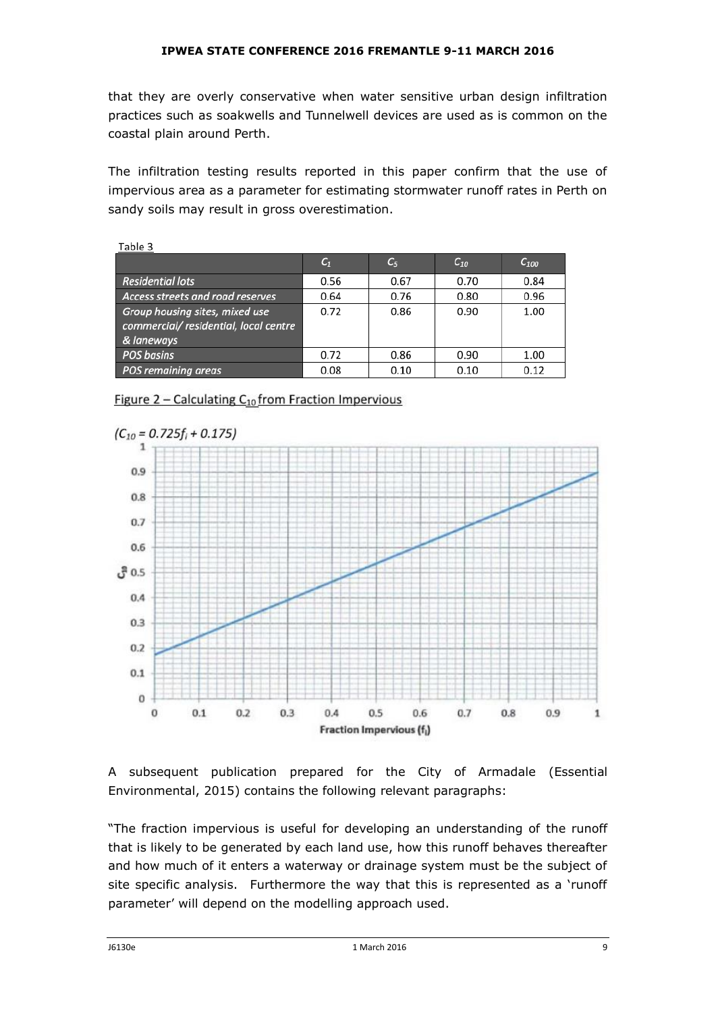that they are overly conservative when water sensitive urban design infiltration practices such as soakwells and Tunnelwell devices are used as is common on the coastal plain around Perth.

The infiltration testing results reported in this paper confirm that the use of impervious area as a parameter for estimating stormwater runoff rates in Perth on sandy soils may result in gross overestimation.

| Table 3                                                                               |                |       |          |           |
|---------------------------------------------------------------------------------------|----------------|-------|----------|-----------|
|                                                                                       | $\mathsf{C}_1$ | $C_5$ | $C_{10}$ | $C_{100}$ |
| <b>Residential lots</b>                                                               | 0.56           | 0.67  | 0.70     | 0.84      |
| Access streets and road reserves                                                      | 0.64           | 0.76  | 0.80     | 0.96      |
| Group housing sites, mixed use<br>commercial/ residential, local centre<br>& laneways | 0.72           | 0.86  | 0.90     | 1.00      |
| <b>POS basins</b>                                                                     | 0.72           | 0.86  | 0.90     | 1.00      |
| <b>POS remaining areas</b>                                                            | 0.08           | 0.10  | 0.10     | 0.12      |

Figure 2 - Calculating  $C_{10}$  from Fraction Impervious



A subsequent publication prepared for the City of Armadale (Essential Environmental, 2015) contains the following relevant paragraphs:

"The fraction impervious is useful for developing an understanding of the runoff that is likely to be generated by each land use, how this runoff behaves thereafter and how much of it enters a waterway or drainage system must be the subject of site specific analysis. Furthermore the way that this is represented as a 'runoff parameter' will depend on the modelling approach used.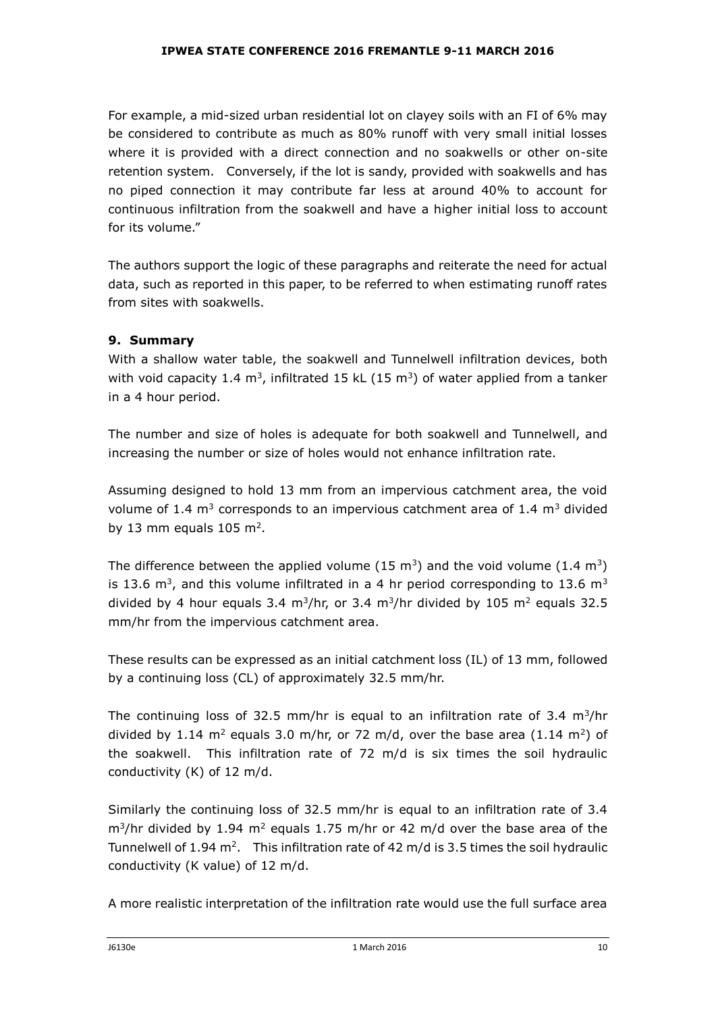For example, a mid-sized urban residential lot on clayey soils with an FI of 6% may be considered to contribute as much as 80% runoff with very small initial losses where it is provided with a direct connection and no soakwells or other on-site retention system. Conversely, if the lot is sandy, provided with soakwells and has no piped connection it may contribute far less at around 40% to account for continuous infiltration from the soakwell and have a higher initial loss to account for its volume."

The authors support the logic of these paragraphs and reiterate the need for actual data, such as reported in this paper, to be referred to when estimating runoff rates from sites with soakwells.

## **9. Summary**

With a shallow water table, the soakwell and Tunnelwell infiltration devices, both with void capacity 1.4  $\text{m}^3$ , infiltrated 15 kL (15  $\text{m}^3$ ) of water applied from a tanker in a 4 hour period.

The number and size of holes is adequate for both soakwell and Tunnelwell, and increasing the number or size of holes would not enhance infiltration rate.

Assuming designed to hold 13 mm from an impervious catchment area, the void volume of 1.4  $m<sup>3</sup>$  corresponds to an impervious catchment area of 1.4  $m<sup>3</sup>$  divided by 13 mm equals  $105 \text{ m}^2$ .

The difference between the applied volume (15 m<sup>3</sup>) and the void volume (1.4 m<sup>3</sup>) is 13.6 m<sup>3</sup>, and this volume infiltrated in a 4 hr period corresponding to 13.6 m<sup>3</sup> divided by 4 hour equals 3.4 m<sup>3</sup>/hr, or 3.4 m<sup>3</sup>/hr divided by 105 m<sup>2</sup> equals 32.5 mm/hr from the impervious catchment area.

These results can be expressed as an initial catchment loss (IL) of 13 mm, followed by a continuing loss (CL) of approximately 32.5 mm/hr.

The continuing loss of 32.5 mm/hr is equal to an infiltration rate of 3.4  $m^3$ /hr divided by 1.14 m<sup>2</sup> equals 3.0 m/hr, or 72 m/d, over the base area  $(1.14 \text{ m}^2)$  of the soakwell. This infiltration rate of 72 m/d is six times the soil hydraulic conductivity (K) of 12 m/d.

Similarly the continuing loss of 32.5 mm/hr is equal to an infiltration rate of 3.4  $\rm m^3$ /hr divided by 1.94  $\rm m^2$  equals 1.75 m/hr or 42 m/d over the base area of the Tunnelwell of  $1.94$  m<sup>2</sup>. This infiltration rate of 42 m/d is 3.5 times the soil hydraulic conductivity (K value) of 12 m/d.

A more realistic interpretation of the infiltration rate would use the full surface area